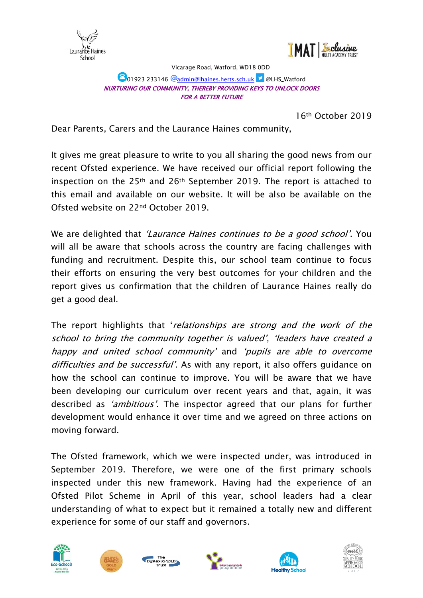



Vicarage Road, Watford, WD18 0DD

## **101923 233146 @admin@lhaines.herts.sch.uk | @LHS\_Watford** NURTURING OUR COMMUNITY, THEREBY PROVIDING KEYS TO UNLOCK DOORS FOR A BETTER FUTURE

16th October 2019

Dear Parents, Carers and the Laurance Haines community,

It gives me great pleasure to write to you all sharing the good news from our recent Ofsted experience. We have received our official report following the inspection on the 25th and 26th September 2019. The report is attached to this email and available on our website. It will be also be available on the Ofsted website on 22nd October 2019.

We are delighted that 'Laurance Haines continues to be a good school'. You will all be aware that schools across the country are facing challenges with funding and recruitment. Despite this, our school team continue to focus their efforts on ensuring the very best outcomes for your children and the report gives us confirmation that the children of Laurance Haines really do get a good deal.

The report highlights that 'relationships are strong and the work of the school to bring the community together is valued', 'leaders have created a happy and united school community' and 'pupils are able to overcome difficulties and be successful'. As with any report, it also offers guidance on how the school can continue to improve. You will be aware that we have been developing our curriculum over recent years and that, again, it was described as 'ambitious'. The inspector agreed that our plans for further development would enhance it over time and we agreed on three actions on moving forward.

The Ofsted framework, which we were inspected under, was introduced in September 2019. Therefore, we were one of the first primary schools inspected under this new framework. Having had the experience of an Ofsted Pilot Scheme in April of this year, school leaders had a clear understanding of what to expect but it remained a totally new and different experience for some of our staff and governors.